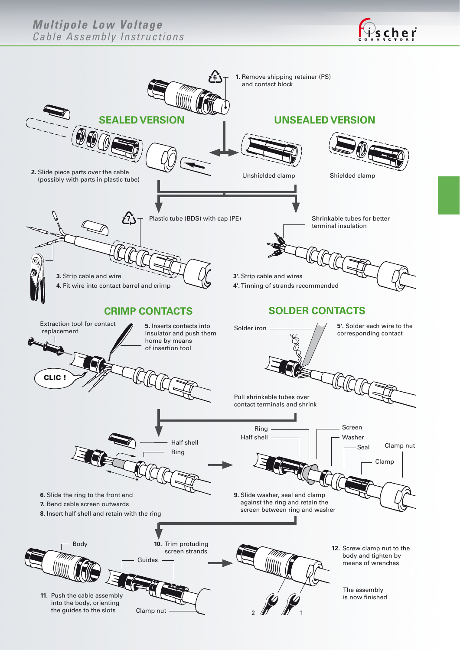## *Multipole Low Voltage Cable Assembly Instructions*



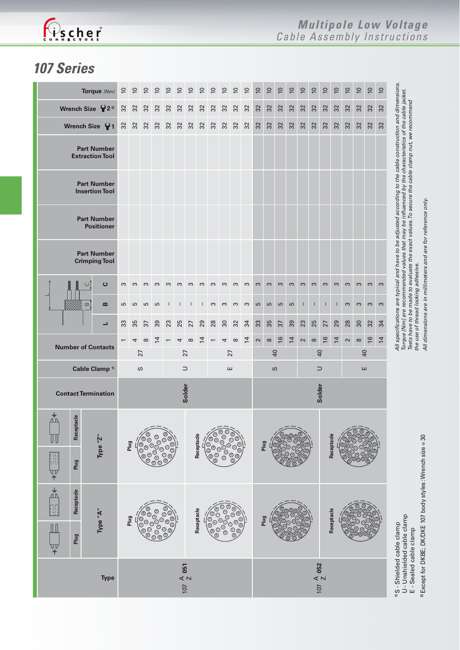

## *107 Series*

| Torque [Nm]                                                         |                           | $\Xi$        | $\overline{C}$                                    | $\overline{C}$        | $\overline{0}$  | $\overline{c}$ | $\overline{C}$ | $\overline{C}$ | $\overline{0}$                                            | $\overline{C}$ | $\overline{C}$ | $\overline{0}$ | $\approx$      | $\overline{c}$                                                                                | $\overline{0}$ | $\overline{0}$ | $\overline{0}$ | $\overline{0}$ | $\overline{0}$  | $\overline{0}$ | $\overline{0}$ | $\overline{0}$ | $\overline{0}$  | $\overline{0}$              | $\overline{0}$ |                                                                                                                                                                                                                                                                                                                        |                                                     |
|---------------------------------------------------------------------|---------------------------|--------------|---------------------------------------------------|-----------------------|-----------------|----------------|----------------|----------------|-----------------------------------------------------------|----------------|----------------|----------------|----------------|-----------------------------------------------------------------------------------------------|----------------|----------------|----------------|----------------|-----------------|----------------|----------------|----------------|-----------------|-----------------------------|----------------|------------------------------------------------------------------------------------------------------------------------------------------------------------------------------------------------------------------------------------------------------------------------------------------------------------------------|-----------------------------------------------------|
|                                                                     | Wrench Size $\{2^{2}\}$   |              | 32                                                | 32                    | 32              | 32             | 32             | 32             | 32                                                        | 32             | 32             | 32             | 32             | 32                                                                                            | 32             | 32             | 32             | 32             | 32              | 32             | 32             | 32             | 32              | 32                          | 32             | 32                                                                                                                                                                                                                                                                                                                     |                                                     |
|                                                                     | Wrench Size 91            |              | 32                                                | 32                    | 32              | 32             | 32             | 32             | 32                                                        | 32             | 32             | 32             | 32             | 32                                                                                            | 32             | 32             | 32             | 32             | 32              | 32             | 32             | 32             | 32              | 32                          | 32             | 32                                                                                                                                                                                                                                                                                                                     |                                                     |
| <b>Part Number</b><br><b>Extraction Tool</b>                        |                           |              |                                                   |                       |                 |                |                |                |                                                           |                |                |                |                |                                                                                               |                |                |                |                |                 |                |                |                |                 |                             |                |                                                                                                                                                                                                                                                                                                                        |                                                     |
| <b>Part Number</b><br><b>Insertion Tool</b>                         |                           |              |                                                   |                       |                 |                |                |                |                                                           |                |                |                |                |                                                                                               |                |                |                |                |                 |                |                |                |                 |                             |                |                                                                                                                                                                                                                                                                                                                        |                                                     |
| <b>Part Number</b><br><b>Positioner</b>                             |                           |              |                                                   |                       |                 |                |                |                |                                                           |                |                |                |                |                                                                                               |                |                |                |                |                 |                |                |                |                 |                             |                |                                                                                                                                                                                                                                                                                                                        |                                                     |
| <b>Part Number</b><br><b>Crimping Tool</b>                          |                           |              |                                                   |                       |                 |                |                |                |                                                           |                |                |                |                |                                                                                               |                |                |                |                |                 |                |                |                |                 |                             |                | All specifications are typical and have to be adjusted according to the cable construction and dimensions.<br>Torque [Nm] are recommended values that may be influenced by the characteristics of the cable jacket.<br>Tests have to be made to evaluate the exact values. To secure the cable clamp nut, we recommend |                                                     |
|                                                                     | $\circ$                   | ပ            | S                                                 | S                     | S               | $\infty$       | S              | $\infty$       | $\infty$                                                  | $\infty$       | S              | S              | $\infty$       | $\infty$                                                                                      | S              | $\infty$       | $\infty$       | $\infty$       | $\infty$        | $\infty$       | $\infty$       | $\infty$       | $\infty$        | S                           | $\infty$       | $\infty$                                                                                                                                                                                                                                                                                                               |                                                     |
|                                                                     | $\infty$                  | $\mathbf{a}$ | 5                                                 | 5                     | S               | 5              | $\mathbf{I}$   |                | $\mathbf{I}$                                              | L              | S              | S              | $\infty$       | $\infty$                                                                                      | 5              | $\overline{5}$ | S              | S              | $\overline{1}$  |                | т              | т              | S               | S                           | S              | $\infty$                                                                                                                                                                                                                                                                                                               |                                                     |
|                                                                     |                           | ┙            | 33                                                | 35                    | $\overline{37}$ | 39             | 23             | 25             | 27                                                        | 29             | 28             | 30             | 32             | 34                                                                                            | 33             | 35             | 37             | 39             | 23              | 25             | 27             | 29             | 28              | 30                          | 32             | 34                                                                                                                                                                                                                                                                                                                     |                                                     |
| <b>Number of Contacts</b>                                           |                           |              | 4                                                 | $\infty$              | 흐               |                | 4              | $\infty$       | 4                                                         |                | 4              | $\infty$       | $\overline{4}$ | $\boldsymbol{\sim}$                                                                           | $\infty$       | 16             | $\overline{4}$ | $\sim$         | $\infty$        | $\frac{6}{2}$  | $\overline{4}$ | $\sim$         | $\infty$        | 16                          | $\overline{4}$ |                                                                                                                                                                                                                                                                                                                        |                                                     |
|                                                                     |                           |              | 27                                                |                       |                 |                |                | 27             |                                                           |                |                | 27             |                |                                                                                               | $\overline{a}$ |                |                |                | $\overline{40}$ |                |                |                | $\overline{40}$ |                             |                |                                                                                                                                                                                                                                                                                                                        |                                                     |
|                                                                     | Cable Clamp <sup>1)</sup> |              |                                                   |                       | S               |                |                |                | ш<br>⊃                                                    |                |                |                |                |                                                                                               | S<br>$\supset$ |                |                |                |                 |                |                | ш              |                 |                             |                |                                                                                                                                                                                                                                                                                                                        |                                                     |
| <b>Contact Termination</b>                                          |                           |              | Solder                                            |                       |                 |                |                |                |                                                           |                |                |                |                | Solder                                                                                        |                |                |                |                |                 |                |                |                |                 |                             |                |                                                                                                                                                                                                                                                                                                                        |                                                     |
| Receptacle<br><u>Л N</u><br>Plug<br>V<br>个                          |                           | Type "Z"     | Plug                                              |                       |                 |                |                | Receptacle     |                                                           |                |                |                |                | Plug                                                                                          |                |                |                |                |                 | Receptacle     |                |                |                 |                             |                |                                                                                                                                                                                                                                                                                                                        |                                                     |
| $\frac{1}{4}$<br>Receptacle<br>Ŧ<br>$\mathbf{m}$<br>Plug<br>पा<br>न |                           | Type "A"     | )<br>මේ<br>මේ<br>Plug<br>- ಅ <sub>©</sub><br>'ಿ©⁄ |                       |                 |                |                |                | $\overline{\circ}$<br>Receptacle<br>)<br>000<br>000<br>09 |                |                |                |                |                                                                                               | Plug           |                |                |                |                 |                | Receptacle     |                |                 |                             |                |                                                                                                                                                                                                                                                                                                                        | U- Unshielded cable clamp<br>E - Sealed cable clamp |
| <b>Type</b>                                                         |                           |              |                                                   | $107 \frac{A}{Z} 051$ |                 |                |                |                |                                                           |                |                |                |                | $107 \begin{array}{c} \text{\large $\triangle$} \\ \text{\large $\triangle$} \end{array} 052$ |                |                |                |                |                 |                |                |                |                 | 1) S - Shielded cable clamp |                |                                                                                                                                                                                                                                                                                                                        |                                                     |

Tests have to be made to evaluate the exact values. To secure the cable clamp nut, we recommend<br>the use of thread locking adhesive.<br>All dimensions are in millimeters and are for reference only.  *Tests have to be made to evaluate the exact values. To secure the cable clamp nut, we recommend All dimensions are in millimeters and are for reference only. the use of thread locking adhesive.*

> <sup>2</sup> Except for DKBE; DK/DKE 107 body styles: Wrench size = 30 **2)** Except for DKBE; DK/DKE 107 body styles : Wrench size = 30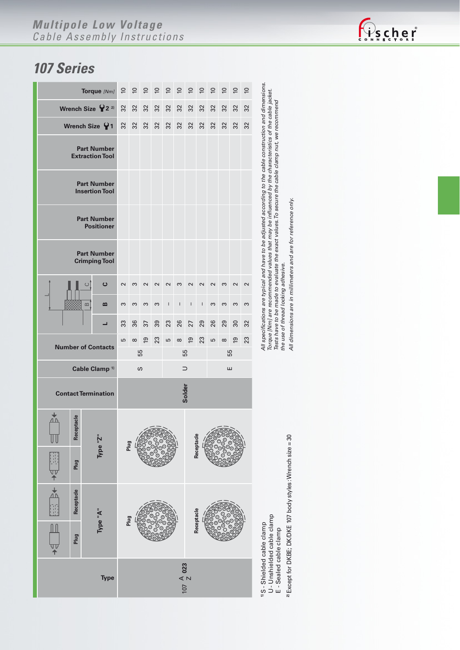## *Multipole Low Voltage Cable Assembly Instructions*

## *107 Series*

|                           |                                                  | Torque [Nm] | $\overline{C}$     |          | 99             | $\overline{a}$                  | $\overline{a}$ | $\overline{c}$ | $\overline{a}$ | $\overline{a}$ | $\epsilon$ | $\overline{C}$ | $\overline{C}$ | $\approx$ |  |  |  |  |  |  |
|---------------------------|--------------------------------------------------|-------------|--------------------|----------|----------------|---------------------------------|----------------|----------------|----------------|----------------|------------|----------------|----------------|-----------|--|--|--|--|--|--|
|                           | Wrench Size $\mathsf{P}$ 2 <sup>2</sup>          | 32          | 32                 | 32       | 32             | 32                              | 32             | 32             | 32             | 32             | 32         | 32             | 32             |           |  |  |  |  |  |  |
| Wrench Size $\{ \}$ 1     | 32                                               | 32          | 32                 | 32       | 32             | 32                              | 32             | 32             | 32             | 32             | 32         | 32             |                |           |  |  |  |  |  |  |
|                           |                                                  |             |                    |          |                |                                 |                |                |                |                |            |                |                |           |  |  |  |  |  |  |
|                           |                                                  |             |                    |          |                |                                 |                |                |                |                |            |                |                |           |  |  |  |  |  |  |
|                           |                                                  |             |                    |          |                |                                 |                |                |                |                |            |                |                |           |  |  |  |  |  |  |
|                           |                                                  |             |                    |          |                |                                 |                |                |                |                |            |                |                |           |  |  |  |  |  |  |
|                           | $\mathbf c$<br>ပ                                 |             |                    |          | $\sim$         | $\sim$                          | $\sim$         | S              | $\sim$         | $\sim$         | $\sim$     | S              | $\sim$         | $\sim$    |  |  |  |  |  |  |
|                           | $\mathbf{a}$                                     | ω           | 3                  | S        | S              | $\overline{\phantom{a}}$        | $\mathbf{I}$   | Ī              | $\sf I$        | S              | S          | S              | S              |           |  |  |  |  |  |  |
| ┙                         |                                                  |             |                    | 36       | 37             | 39                              | 23             | 26             | 27             | 29             | 26         | 29             | 30             | 32        |  |  |  |  |  |  |
| <b>Number of Contacts</b> |                                                  |             |                    | $\infty$ | $\overline{9}$ | 23                              | Б              | $\infty$       | $\overline{6}$ | 23             | S          | $\infty$       | $\overline{e}$ | 23        |  |  |  |  |  |  |
|                           | Cable Clamp <sup>1)</sup>                        |             |                    |          |                | 55<br>55<br>55<br>$\omega$<br>ш |                |                |                |                |            |                |                |           |  |  |  |  |  |  |
|                           | ⊃                                                |             |                    |          |                |                                 |                |                |                |                |            |                |                |           |  |  |  |  |  |  |
|                           | <b>Contact Termination</b>                       |             |                    |          |                | Solder                          |                |                |                |                |            |                |                |           |  |  |  |  |  |  |
| <u>A N</u>                | <b>ortacle</b><br>Recept                         |             | Plug               |          |                |                                 |                |                |                |                |            |                |                |           |  |  |  |  |  |  |
| Ä                         | Plug                                             | Type "Z"    |                    |          |                |                                 |                |                | Receptacle     |                |            |                |                |           |  |  |  |  |  |  |
| 194 →1 13                 | Receptacle                                       | Type "A"    |                    |          |                |                                 |                |                |                |                |            |                |                |           |  |  |  |  |  |  |
| 亚<br>个                    | Plug                                             |             | Receptacle<br>Plug |          |                |                                 |                |                |                |                |            |                |                |           |  |  |  |  |  |  |
|                           | $107 \begin{array}{c} 4 \\ 2 \\ 023 \end{array}$ |             |                    |          |                |                                 |                |                |                |                |            |                |                |           |  |  |  |  |  |  |

<sup>1</sup>S - Shielded cable clamp<br>U - Unshielded cable clamp<br>E - Sealed cable clamp U - Unshielded cable clamp **1)** S - Shielded cable clamp

E - Sealed cable clamp

<sup>2</sup> Except for DKBE; DK/DKE 107 body styles: Wrench size = 30 **2)** Except for DKBE; DK/DKE 107 body styles : Wrench size = 30

All specifications are typical and have to be adjusted according to the cable construction and dimensions.<br>Torque [Nm] are recommended values that may be influenced by the characteristics of the cable jacket.<br>Tests have to *All specifications are typical and have to be adjusted according to the cable construction and dimensions. Torque [Nm] are recommended values that may be influenced by the characteristics of the cable jacket. Tests have to be made to evaluate the exact values. To secure the cable clamp nut, we recommend the use of thread locking adhesive.*

All dimensions are in millimeters and are for reference only. *All dimensions are in millimeters and are for reference only.*